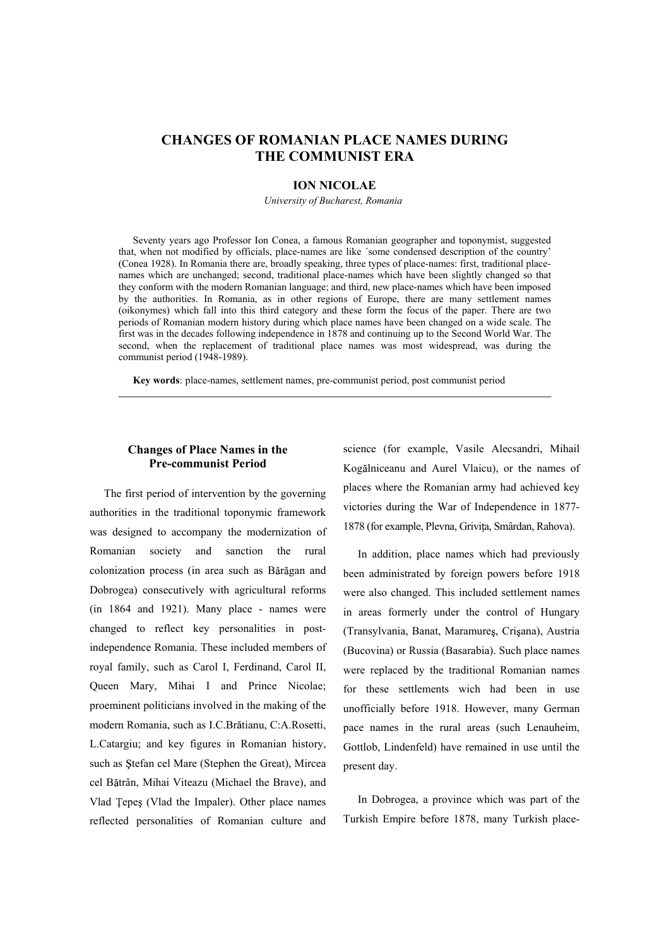# **CHANGES OF ROMANIAN PLACE NAMES DURING THE COMMUNIST ERA**

#### **ION NICOLAE**

*University of Bucharest, Romania*

Seventy years ago Professor Ion Conea, a famous Romanian geographer and toponymist, suggested that, when not modified by officials, place-names are like ´some condensed description of the country (Conea 1928). In Romania there are, broadly speaking, three types of place-names: first, traditional placenames which are unchanged; second, traditional place-names which have been slightly changed so that they conform with the modern Romanian language; and third, new place-names which have been imposed by the authorities. In Romania, as in other regions of Europe, there are many settlement names (oikonymes) which fall into this third category and these form the focus of the paper. There are two periods of Romanian modern history during which place names have been changed on a wide scale. The first was in the decades following independence in 1878 and continuing up to the Second World War. The second, when the replacement of traditional place names was most widespread, was during the communist period (1948-1989).

**Key words**: place-names, settlement names, pre-communist period, post communist period

### **Changes of Place Names in the Pre-communist Period**

The first period of intervention by the governing authorities in the traditional toponymic framework was designed to accompany the modernization of Romanian society and sanction the rural colonization process (in area such as Bărăgan and Dobrogea) consecutively with agricultural reforms (in 1864 and 1921). Many place - names were changed to reflect key personalities in postindependence Romania. These included members of royal family, such as Carol I, Ferdinand, Carol II, Queen Mary, Mihai I and Prince Nicolae; proeminent politicians involved in the making of the modern Romania, such as I.C.Brătianu, C:A.Rosetti, L.Catargiu; and key figures in Romanian history, such as Stefan cel Mare (Stephen the Great), Mircea cel Bătrân, Mihai Viteazu (Michael the Brave), and Vlad Tepes (Vlad the Impaler). Other place names reflected personalities of Romanian culture and

science (for example, Vasile Alecsandri, Mihail Kogălniceanu and Aurel Vlaicu), or the names of places where the Romanian army had achieved key victories during the War of Independence in 1877- 1878 (for example, Plevna, Grivita, Smârdan, Rahova).

In addition, place names which had previously been administrated by foreign powers before 1918 were also changed. This included settlement names in areas formerly under the control of Hungary (Transylvania, Banat, Maramureș, Crișana), Austria (Bucovina) or Russia (Basarabia). Such place names were replaced by the traditional Romanian names for these settlements wich had been in use unofficially before 1918. However, many German pace names in the rural areas (such Lenauheim, Gottlob, Lindenfeld) have remained in use until the present day.

In Dobrogea, a province which was part of the Turkish Empire before 1878, many Turkish place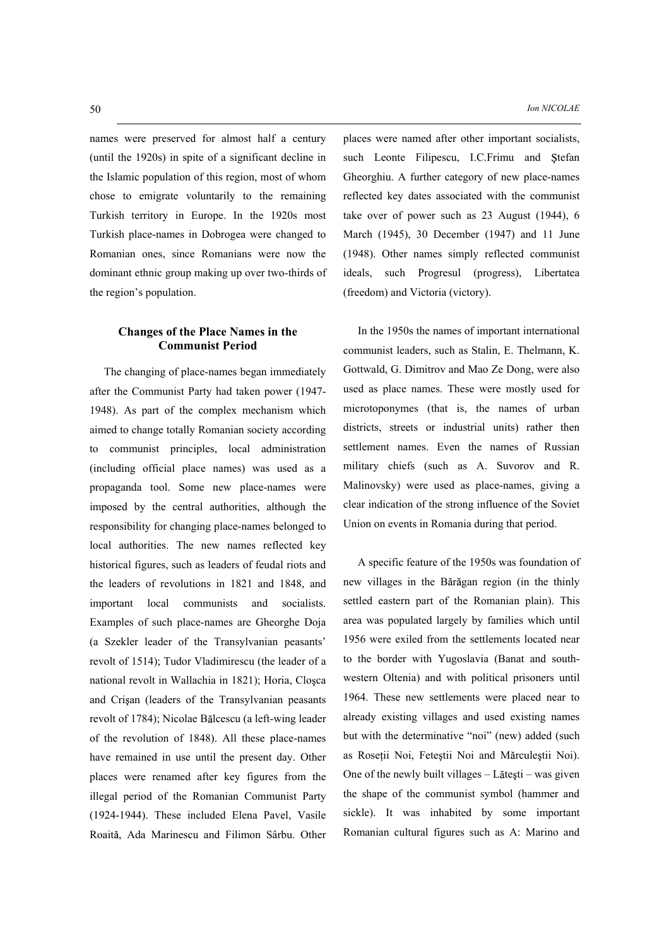names were preserved for almost half a century (until the 1920s) in spite of a significant decline in the Islamic population of this region, most of whom chose to emigrate voluntarily to the remaining Turkish territory in Europe. In the 1920s most Turkish place-names in Dobrogea were changed to Romanian ones, since Romanians were now the dominant ethnic group making up over two-thirds of the region's population.

## **Changes of the Place Names in the Communist Period**

The changing of place-names began immediately after the Communist Party had taken power (1947- 1948). As part of the complex mechanism which aimed to change totally Romanian society according to communist principles, local administration (including official place names) was used as a propaganda tool. Some new place-names were imposed by the central authorities, although the responsibility for changing place-names belonged to local authorities. The new names reflected key historical figures, such as leaders of feudal riots and the leaders of revolutions in 1821 and 1848, and important local communists and socialists. Examples of such place-names are Gheorghe Doja (a Szekler leader of the Transylvanian peasants revolt of 1514); Tudor Vladimirescu (the leader of a national revolt in Wallachia in 1821); Horia, Closca and Crisan (leaders of the Transylvanian peasants revolt of 1784); Nicolae Bălcescu (a left-wing leader of the revolution of 1848). All these place-names have remained in use until the present day. Other places were renamed after key figures from the illegal period of the Romanian Communist Party (1924-1944). These included Elena Pavel, Vasile Roaită, Ada Marinescu and Filimon Sârbu. Other places were named after other important socialists, such Leonte Filipescu, I.C.Frimu and Stefan Gheorghiu. A further category of new place-names reflected key dates associated with the communist take over of power such as 23 August (1944), 6 March (1945), 30 December (1947) and 11 June (1948). Other names simply reflected communist ideals, such Progresul (progress), Libertatea (freedom) and Victoria (victory).

In the 1950s the names of important international communist leaders, such as Stalin, E. Thelmann, K. Gottwald, G. Dimitrov and Mao Ze Dong, were also used as place names. These were mostly used for microtoponymes (that is, the names of urban districts, streets or industrial units) rather then settlement names. Even the names of Russian military chiefs (such as A. Suvorov and R. Malinovsky) were used as place-names, giving a clear indication of the strong influence of the Soviet Union on events in Romania during that period.

A specific feature of the 1950s was foundation of new villages in the Bărăgan region (in the thinly settled eastern part of the Romanian plain). This area was populated largely by families which until 1956 were exiled from the settlements located near to the border with Yugoslavia (Banat and southwestern Oltenia) and with political prisoners until 1964. These new settlements were placed near to already existing villages and used existing names but with the determinative "noi" (new) added (such as Roseții Noi, Feteștii Noi and Mărculeștii Noi). One of the newly built villages  $-$  Lătești  $-$  was given the shape of the communist symbol (hammer and sickle). It was inhabited by some important Romanian cultural figures such as A: Marino and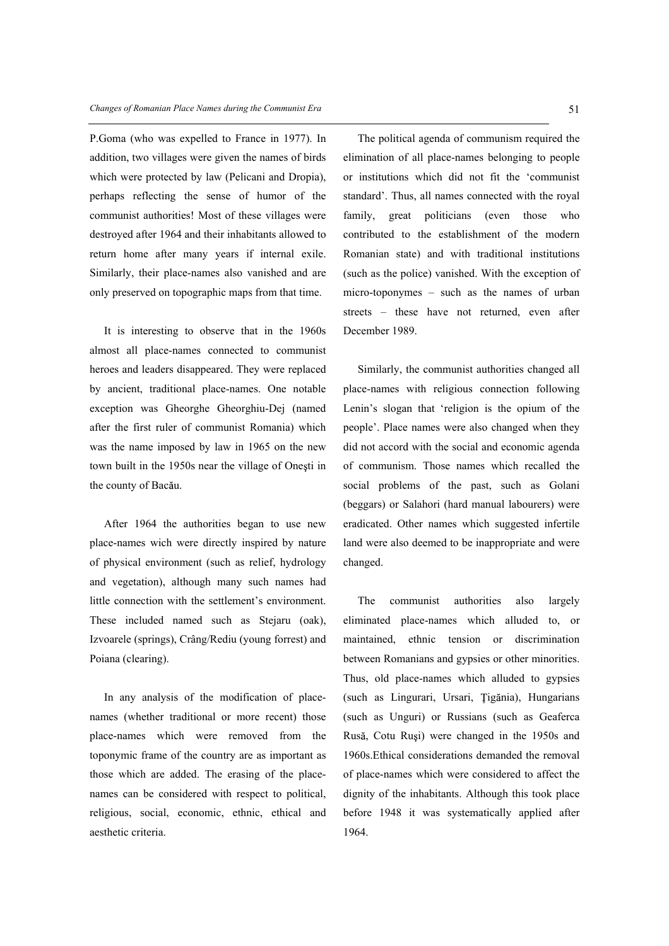P.Goma (who was expelled to France in 1977). In addition, two villages were given the names of birds which were protected by law (Pelicani and Dropia), perhaps reflecting the sense of humor of the communist authorities! Most of these villages were destroyed after 1964 and their inhabitants allowed to return home after many years if internal exile. Similarly, their place-names also vanished and are only preserved on topographic maps from that time.

It is interesting to observe that in the 1960s almost all place-names connected to communist heroes and leaders disappeared. They were replaced by ancient, traditional place-names. One notable exception was Gheorghe Gheorghiu-Dej (named after the first ruler of communist Romania) which was the name imposed by law in 1965 on the new town built in the 1950s near the village of Onesti in the county of Bacău.

After 1964 the authorities began to use new place-names wich were directly inspired by nature of physical environment (such as relief, hydrology and vegetation), although many such names had little connection with the settlement's environment. These included named such as Stejaru (oak), Izvoarele (springs), Crâng/Rediu (young forrest) and Poiana (clearing).

In any analysis of the modification of placenames (whether traditional or more recent) those place-names which were removed from the toponymic frame of the country are as important as those which are added. The erasing of the placenames can be considered with respect to political, religious, social, economic, ethnic, ethical and aesthetic criteria.

The political agenda of communism required the elimination of all place-names belonging to people or institutions which did not fit the 'communist standard'. Thus, all names connected with the royal family, great politicians (even those who contributed to the establishment of the modern Romanian state) and with traditional institutions (such as the police) vanished. With the exception of micro-toponymes  $-$  such as the names of urban streets – these have not returned, even after December 1989.

Similarly, the communist authorities changed all place-names with religious connection following Lenin's slogan that 'religion is the opium of the people'. Place names were also changed when they did not accord with the social and economic agenda of communism. Those names which recalled the social problems of the past, such as Golani (beggars) or Salahori (hard manual labourers) were eradicated. Other names which suggested infertile land were also deemed to be inappropriate and were changed.

The communist authorities also largely eliminated place-names which alluded to, or maintained, ethnic tension or discrimination between Romanians and gypsies or other minorities. Thus, old place-names which alluded to gypsies (such as Lingurari, Ursari, Țigănia), Hungarians (such as Unguri) or Russians (such as Geaferca Rusă, Cotu Rusi) were changed in the 1950s and 1960s.Ethical considerations demanded the removal of place-names which were considered to affect the dignity of the inhabitants. Although this took place before 1948 it was systematically applied after 1964.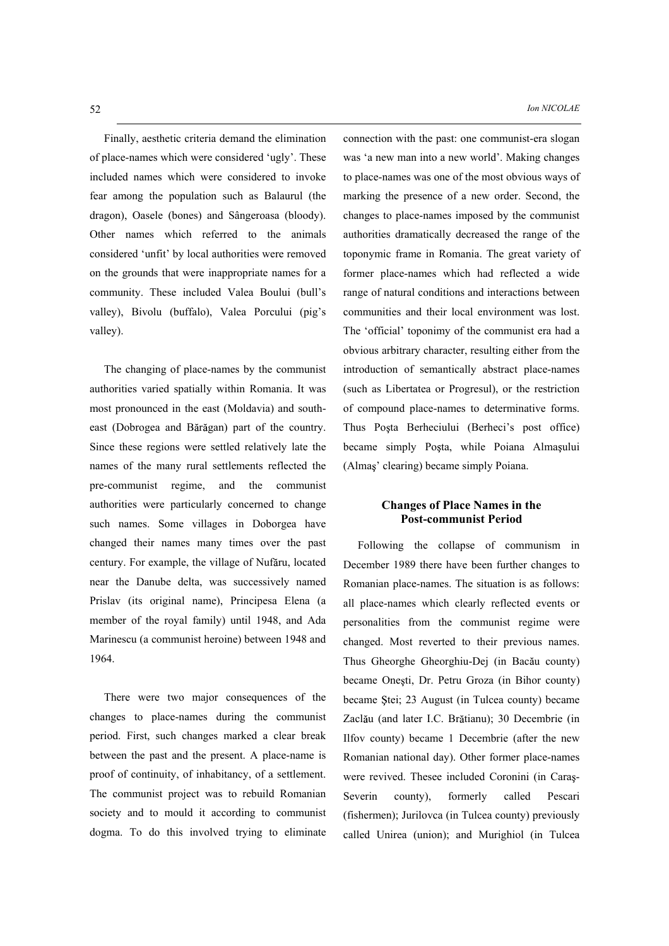Finally, aesthetic criteria demand the elimination of place-names which were considered 'ugly'. These included names which were considered to invoke fear among the population such as Balaurul (the dragon), Oasele (bones) and Sângeroasa (bloody). Other names which referred to the animals considered 'unfit' by local authorities were removed on the grounds that were inappropriate names for a community. These included Valea Boului (bull's valley), Bivolu (buffalo), Valea Porcului (pig's valley).

The changing of place-names by the communist authorities varied spatially within Romania. It was most pronounced in the east (Moldavia) and southeast (Dobrogea and Bărăgan) part of the country. Since these regions were settled relatively late the names of the many rural settlements reflected the pre-communist regime, and the communist authorities were particularly concerned to change such names. Some villages in Doborgea have changed their names many times over the past century. For example, the village of Nufăru, located near the Danube delta, was successively named Prislav (its original name), Principesa Elena (a member of the royal family) until 1948, and Ada Marinescu (a communist heroine) between 1948 and 1964.

There were two major consequences of the changes to place-names during the communist period. First, such changes marked a clear break between the past and the present. A place-name is proof of continuity, of inhabitancy, of a settlement. The communist project was to rebuild Romanian society and to mould it according to communist dogma. To do this involved trying to eliminate connection with the past: one communist-era slogan was 'a new man into a new world'. Making changes to place-names was one of the most obvious ways of marking the presence of a new order. Second, the changes to place-names imposed by the communist authorities dramatically decreased the range of the toponymic frame in Romania. The great variety of former place-names which had reflected a wide range of natural conditions and interactions between communities and their local environment was lost. The 'official' toponimy of the communist era had a obvious arbitrary character, resulting either from the introduction of semantically abstract place-names (such as Libertatea or Progresul), or the restriction of compound place-names to determinative forms. Thus Poșta Berheciului (Berheci's post office) became simply Posta, while Poiana Alma sului (Almas' clearing) became simply Poiana.

#### **Changes of Place Names in the Post-communist Period**

Following the collapse of communism in December 1989 there have been further changes to Romanian place-names. The situation is as follows: all place-names which clearly reflected events or personalities from the communist regime were changed. Most reverted to their previous names. Thus Gheorghe Gheorghiu-Dej (in Bacău county) became Onesti, Dr. Petru Groza (in Bihor county) became Stei; 23 August (in Tulcea county) became Zaclău (and later I.C. Brătianu); 30 Decembrie (in Ilfov county) became 1 Decembrie (after the new Romanian national day). Other former place-names were revived. Thesee included Coronini (in Caraş-Severin county), formerly called Pescari (fishermen); Jurilovca (in Tulcea county) previously called Unirea (union); and Murighiol (in Tulcea